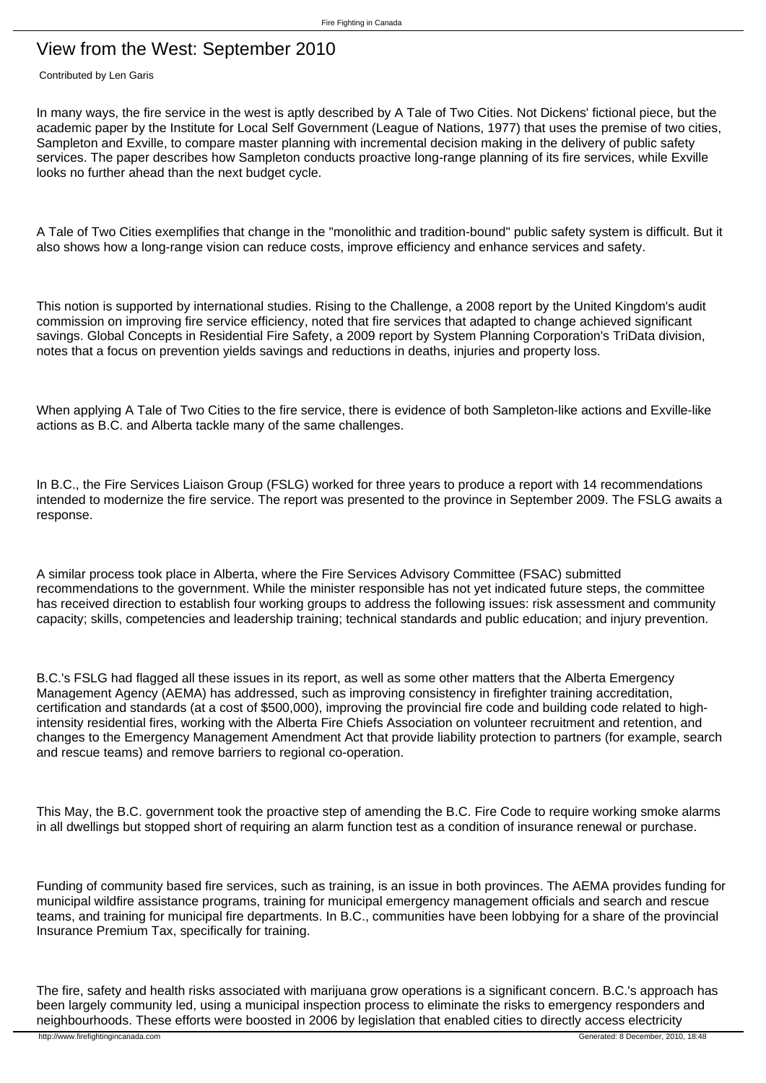## View from the West: September 2010

Contributed by Len Garis

In many ways, the fire service in the west is aptly described by A Tale of Two Cities. Not Dickens' fictional piece, but the academic paper by the Institute for Local Self Government (League of Nations, 1977) that uses the premise of two cities, Sampleton and Exville, to compare master planning with incremental decision making in the delivery of public safety services. The paper describes how Sampleton conducts proactive long-range planning of its fire services, while Exville looks no further ahead than the next budget cycle.

A Tale of Two Cities exemplifies that change in the "monolithic and tradition-bound" public safety system is difficult. But it also shows how a long-range vision can reduce costs, improve efficiency and enhance services and safety.

This notion is supported by international studies. Rising to the Challenge, a 2008 report by the United Kingdom's audit commission on improving fire service efficiency, noted that fire services that adapted to change achieved significant savings. Global Concepts in Residential Fire Safety, a 2009 report by System Planning Corporation's TriData division, notes that a focus on prevention yields savings and reductions in deaths, injuries and property loss.

When applying A Tale of Two Cities to the fire service, there is evidence of both Sampleton-like actions and Exville-like actions as B.C. and Alberta tackle many of the same challenges.

In B.C., the Fire Services Liaison Group (FSLG) worked for three years to produce a report with 14 recommendations intended to modernize the fire service. The report was presented to the province in September 2009. The FSLG awaits a response.

A similar process took place in Alberta, where the Fire Services Advisory Committee (FSAC) submitted recommendations to the government. While the minister responsible has not yet indicated future steps, the committee has received direction to establish four working groups to address the following issues: risk assessment and community capacity; skills, competencies and leadership training; technical standards and public education; and injury prevention.

B.C.'s FSLG had flagged all these issues in its report, as well as some other matters that the Alberta Emergency Management Agency (AEMA) has addressed, such as improving consistency in firefighter training accreditation, certification and standards (at a cost of \$500,000), improving the provincial fire code and building code related to highintensity residential fires, working with the Alberta Fire Chiefs Association on volunteer recruitment and retention, and changes to the Emergency Management Amendment Act that provide liability protection to partners (for example, search and rescue teams) and remove barriers to regional co-operation.

This May, the B.C. government took the proactive step of amending the B.C. Fire Code to require working smoke alarms in all dwellings but stopped short of requiring an alarm function test as a condition of insurance renewal or purchase.

Funding of community based fire services, such as training, is an issue in both provinces. The AEMA provides funding for municipal wildfire assistance programs, training for municipal emergency management officials and search and rescue teams, and training for municipal fire departments. In B.C., communities have been lobbying for a share of the provincial Insurance Premium Tax, specifically for training.

The fire, safety and health risks associated with marijuana grow operations is a significant concern. B.C.'s approach has been largely community led, using a municipal inspection process to eliminate the risks to emergency responders and neighbourhoods. These efforts were boosted in 2006 by legislation that enabled cities to directly access electricity